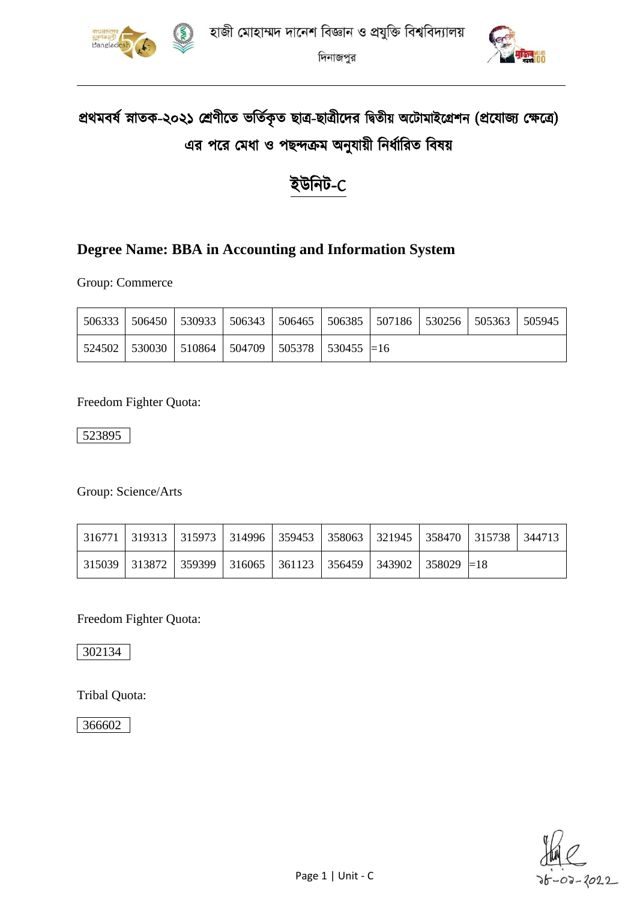



# প্রথমবর্ষ স্নাতক-২০২১ শ্রেণীতে ভর্তিকৃত ছাত্র-ছাত্রীদের দ্বিতীয় অটোমাইগ্রেশন (প্রযোজ্য ক্ষেত্রে) এর পরে মেধা ও পছন্দক্রম অনুযায়ী নির্ধারিত বিষয়

## উনিট-C

### **Degree Name: BBA in Accounting and Information System**

Group: Commerce

|  | 506333   506450   530933   506343   506465   506385   507186   530256   505363   505945 |  |  |  |  |
|--|-----------------------------------------------------------------------------------------|--|--|--|--|
|  | $524502$   530030   510864   504709   505378   530455   = 16                            |  |  |  |  |

#### Freedom Fighter Quota:

523895

Group: Science/Arts

|  | 316771   319313   315973   314996   359453   358063   321945   358470   315738   344713 |  |  |  |  |
|--|-----------------------------------------------------------------------------------------|--|--|--|--|
|  | 315039   313872   359399   316065   361123   356459   343902   358029   $=$ 18          |  |  |  |  |

Freedom Fighter Quota:

302134

Tribal Quota:

366602

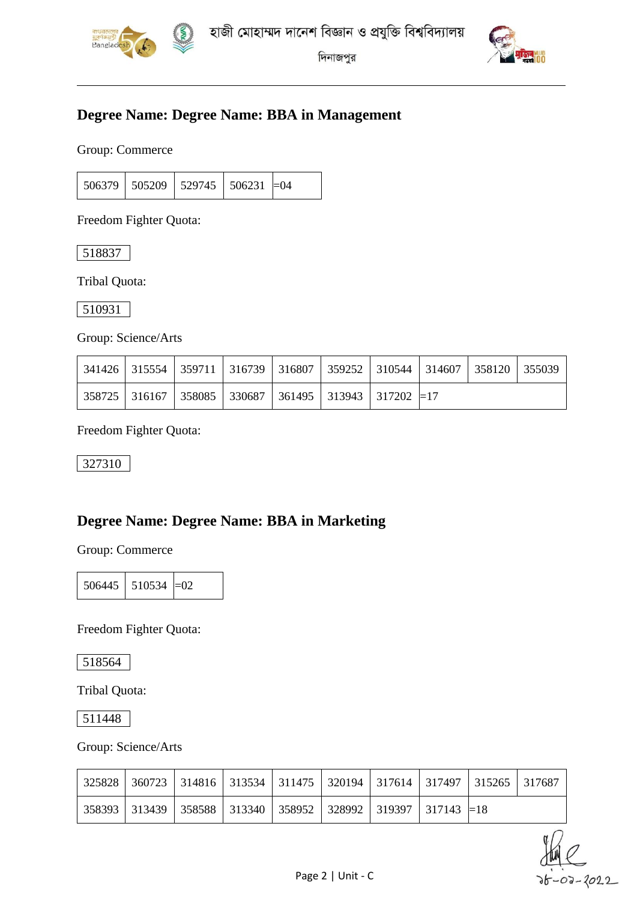



### **Degree Name: Degree Name: BBA in Management**

Group: Commerce

 $506379$  505209 529745 506231 = 04

Freedom Fighter Quota:

518837

Tribal Quota:

510931

Group: Science/Arts

|  |  |                                                                       | 341426   315554   359711   316739   316807   359252   310544   314607   358120   355039 |  |
|--|--|-----------------------------------------------------------------------|-----------------------------------------------------------------------------------------|--|
|  |  | $358725$   316167   358085   330687   361495   313943   317202   = 17 |                                                                                         |  |

Freedom Fighter Quota:

327310

#### **Degree Name: Degree Name: BBA in Marketing**

Group: Commerce

| 506445 | $\vert$ 510534 $\vert$ = 02 |  |
|--------|-----------------------------|--|
|--------|-----------------------------|--|

Freedom Fighter Quota:

518564

Tribal Quota:

511448

Group: Science/Arts

|  | 325828   360723   314816   313534   311475   320194   317614   317497   315265   317687 |  |  |  |  |
|--|-----------------------------------------------------------------------------------------|--|--|--|--|
|  | 358393   313439   358588   313340   358952   328992   319397   317143   =18             |  |  |  |  |

.<br>07-2022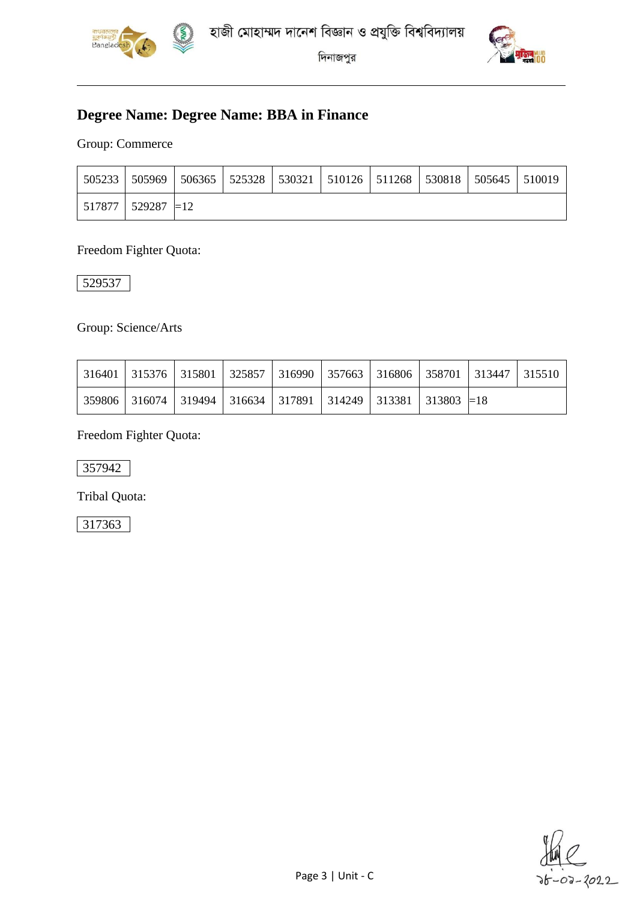



### **Degree Name: Degree Name: BBA in Finance**

#### Group: Commerce

|                      | 505233   505969   506365   525328   530321   510126   511268   530818   505645   510019 |  |  |  |  |
|----------------------|-----------------------------------------------------------------------------------------|--|--|--|--|
| $ 517877 529287 =12$ |                                                                                         |  |  |  |  |

#### Freedom Fighter Quota:

529537

#### Group: Science/Arts

|  | 316401   315376   315801   325857   316990   357663   316806   358701   313447   315510 |  |  |  |  |
|--|-----------------------------------------------------------------------------------------|--|--|--|--|
|  | $\mid$ 359806   316074   319494   316634   317891   314249   313381   313803 $\mid$ =18 |  |  |  |  |

Freedom Fighter Quota:

357942

Tribal Quota:

317363